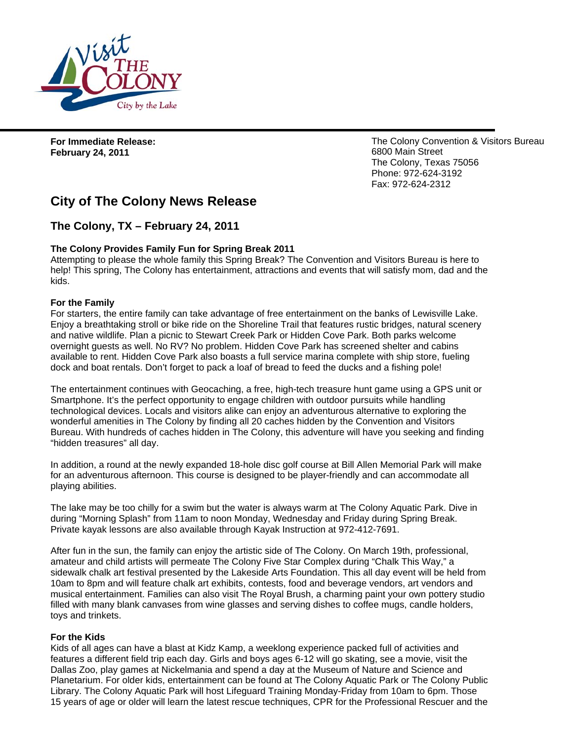

**For Immediate Release: February 24, 2011** 

The Colony Convention & Visitors Bureau 6800 Main Street The Colony, Texas 75056 Phone: 972-624-3192 Fax: 972-624-2312

# **City of The Colony News Release**

# **The Colony, TX – February 24, 2011**

# **The Colony Provides Family Fun for Spring Break 2011**

Attempting to please the whole family this Spring Break? The Convention and Visitors Bureau is here to help! This spring, The Colony has entertainment, attractions and events that will satisfy mom, dad and the kids.

# **For the Family**

For starters, the entire family can take advantage of free entertainment on the banks of Lewisville Lake. Enjoy a breathtaking stroll or bike ride on the Shoreline Trail that features rustic bridges, natural scenery and native wildlife. Plan a picnic to Stewart Creek Park or Hidden Cove Park. Both parks welcome overnight guests as well. No RV? No problem. Hidden Cove Park has screened shelter and cabins available to rent. Hidden Cove Park also boasts a full service marina complete with ship store, fueling dock and boat rentals. Don't forget to pack a loaf of bread to feed the ducks and a fishing pole!

The entertainment continues with Geocaching, a free, high-tech treasure hunt game using a GPS unit or Smartphone. It's the perfect opportunity to engage children with outdoor pursuits while handling technological devices. Locals and visitors alike can enjoy an adventurous alternative to exploring the wonderful amenities in The Colony by finding all 20 caches hidden by the Convention and Visitors Bureau. With hundreds of caches hidden in The Colony, this adventure will have you seeking and finding "hidden treasures" all day.

In addition, a round at the newly expanded 18-hole disc golf course at Bill Allen Memorial Park will make for an adventurous afternoon. This course is designed to be player-friendly and can accommodate all playing abilities.

The lake may be too chilly for a swim but the water is always warm at The Colony Aquatic Park. Dive in during "Morning Splash" from 11am to noon Monday, Wednesday and Friday during Spring Break. Private kayak lessons are also available through Kayak Instruction at 972-412-7691.

After fun in the sun, the family can enjoy the artistic side of The Colony. On March 19th, professional, amateur and child artists will permeate The Colony Five Star Complex during "Chalk This Way," a sidewalk chalk art festival presented by the Lakeside Arts Foundation. This all day event will be held from 10am to 8pm and will feature chalk art exhibits, contests, food and beverage vendors, art vendors and musical entertainment. Families can also visit The Royal Brush, a charming paint your own pottery studio filled with many blank canvases from wine glasses and serving dishes to coffee mugs, candle holders, toys and trinkets.

#### **For the Kids**

Kids of all ages can have a blast at Kidz Kamp, a weeklong experience packed full of activities and features a different field trip each day. Girls and boys ages 6-12 will go skating, see a movie, visit the Dallas Zoo, play games at Nickelmania and spend a day at the Museum of Nature and Science and Planetarium. For older kids, entertainment can be found at The Colony Aquatic Park or The Colony Public Library. The Colony Aquatic Park will host Lifeguard Training Monday-Friday from 10am to 6pm. Those 15 years of age or older will learn the latest rescue techniques, CPR for the Professional Rescuer and the